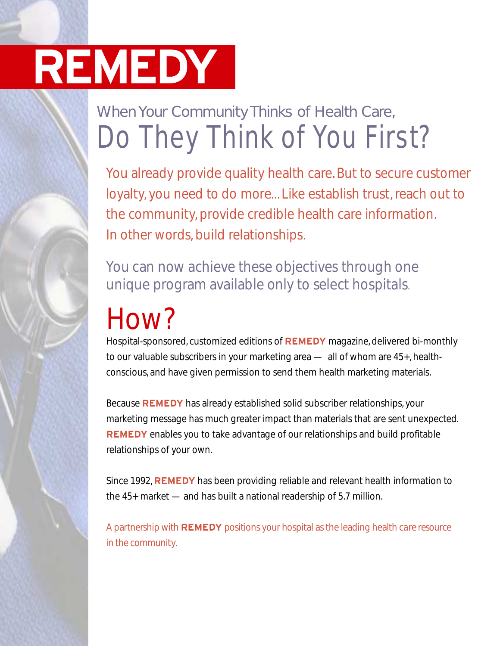## When Your Community Thinks of Health Care, *Do They Think of You First?*

You already provide quality health care. But to secure customer loyalty, you need to do more... Like establish trust, reach out to the community, provide credible health care information. In other words, build relationships.

You can now achieve these objectives through one unique program available only to select hospitals.

## How?

Hospital-sponsored, customized editions of **REMEDY** magazine, delivered bi-monthly to our valuable subscribers in your marketing area — all of whom are 45+, healthconscious, and have given permission to send them health marketing materials.

Because **REMEDY** has already established solid subscriber relationships, your marketing message has much greater impact than materials that are sent unexpected. **REMEDY** enables you to take advantage of our relationships and build profitable relationships of your own.

Since 1992, **REMEDY** has been providing reliable and relevant health information to the 45+ market — and has built a national readership of 5.7 million.

A partnership with **REMEDY** positions your hospital as the leading health care resource in the community.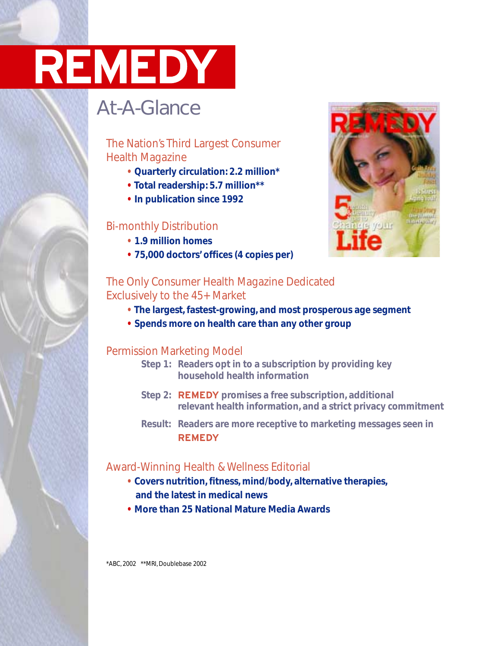### At-A-Glance

### The Nation's Third Largest Consumer Health Magazine

- **Quarterly circulation: 2.2 million\***
- **Total readership: 5.7 million\*\***
- **In publication since 1992**

#### Bi-monthly Distribution

- **• 1.9 million homes**
- **• 75,000 doctors' offices (4 copies per)**



#### The Only Consumer Health Magazine Dedicated Exclusively to the 45+ Market

- **• The largest, fastest-growing, and most prosperous age segment**
- **• Spends more on health care than any other group**

#### Permission Marketing Model

- **Step 1: Readers opt in to a subscription by providing key household health information**
- **Step 2: REMEDY promises a free subscription, additional relevant health information, and a strict privacy commitment**
- **Result: Readers are more receptive to marketing messages seen in REMEDY**

### Award-Winning Health & Wellness Editorial

- **• Covers nutrition, fitness, mind/body, alternative therapies, and the latest in medical news**
- **• More than 25 National Mature Media Awards**

\*ABC, 2002 \*\*MRI, Doublebase 2002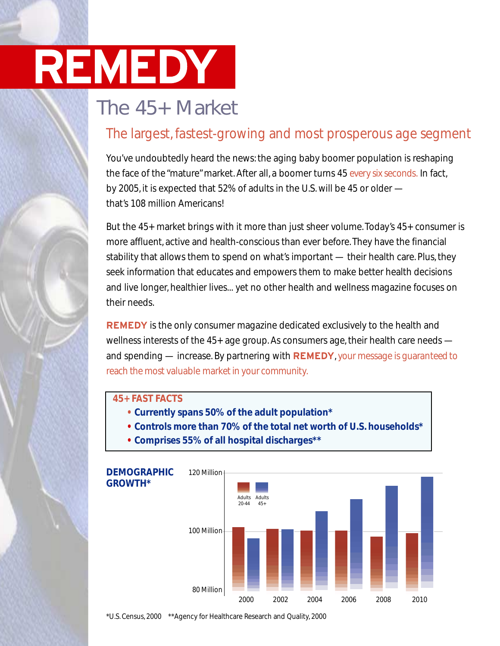### The 45+ Market

### The largest, fastest-growing and most prosperous age segment

You've undoubtedly heard the news: the aging baby boomer population is reshaping the face of the "mature" market. After all, a boomer turns 45 every six seconds. In fact, by 2005, it is expected that 52% of adults in the U.S. will be 45 or older that's 108 million Americans!

But the 45+ market brings with it more than just sheer volume. Today's 45+ consumer is more affluent, active and health-conscious than ever before. They have the financial stability that allows them to spend on what's important — their health care. Plus, they seek information that educates and empowers them to make better health decisions and live longer, healthier lives... yet no other health and wellness magazine focuses on their needs.

**REMEDY** is the only consumer magazine dedicated exclusively to the health and wellness interests of the 45+ age group. As consumers age, their health care needs and spending — increase. By partnering with **REMEDY**, your message is guaranteed to reach the most valuable market in your community.

#### **45+ FAST FACTS**

- **• Currently spans 50% of the adult population\***
- **• Controls more than 70% of the total net worth of U.S. households\***
- **• Comprises 55% of all hospital discharges\*\***



\*U.S. Census, 2000 \*\*Agency for Healthcare Research and Quality, 2000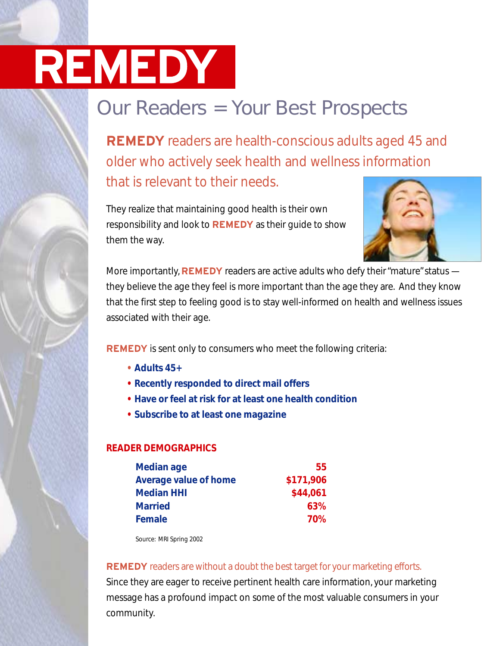## Our Readers = Your Best Prospects

**REMEDY** readers are health-conscious adults aged 45 and older who actively seek health and wellness information that is relevant to their needs.

They realize that maintaining good health is their own responsibility and look to **REMEDY** as their guide to show them the way.



More importantly, **REMEDY** readers are active adults who defy their "mature"status they believe the age they feel is more important than the age they are. And they know that the first step to feeling good is to stay well-informed on health and wellness issues associated with their age.

**REMEDY** is sent only to consumers who meet the following criteria:

- **Adults 45+**
- **Recently responded to direct mail offers**
- **Have or feel at risk for at least one health condition**
- **Subscribe to at least one magazine**

#### **READER DEMOGRAPHICS**

| <b>Median age</b>            | 55        |
|------------------------------|-----------|
| <b>Average value of home</b> | \$171,906 |
| <b>Median HHI</b>            | \$44,061  |
| <b>Married</b>               | 63%       |
| Female                       | 70%       |

Source: MRI Spring 2002

#### **REMEDY** readers are without a doubt the best target for your marketing efforts.

Since they are eager to receive pertinent health care information, your marketing message has a profound impact on some of the most valuable consumers in your community.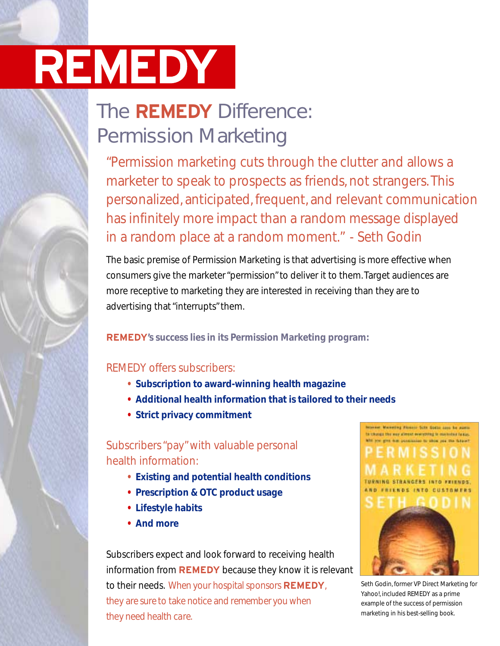## The **REMEDY** Difference: Permission Marketing

"Permission marketing cuts through the clutter and allows a marketer to speak to prospects as friends, not strangers. This personalized, anticipated, frequent, and relevant communication has infinitely more impact than a random message displayed in a random place at a random moment." - Seth Godin

The basic premise of Permission Marketing is that advertising is more effective when consumers give the marketer "permission" to deliver it to them. Target audiences are more receptive to marketing they are interested in receiving than they are to advertising that "interrupts" them.

**REMEDY's success lies in its Permission Marketing program:**

### REMEDY offers subscribers:

- **• Subscription to award-winning health magazine**
- **• Additional health information that is tailored to their needs**
- **• Strict privacy commitment**

### Subscribers "pay" with valuable personal health information:

- **• Existing and potential health conditions**
- **• Prescription & OTC product usage**
- **• Lifestyle habits**
- **• And more**

Subscribers expect and look forward to receiving health information from **REMEDY** because they know it is relevant to their needs. When your hospital sponsors **REMEDY**, they are sure to take notice and remember you when they need health care.



Seth Godin, former VP Direct Marketing for Yahoo!, included REMEDY as a prime example of the success of permission marketing in his best-selling book.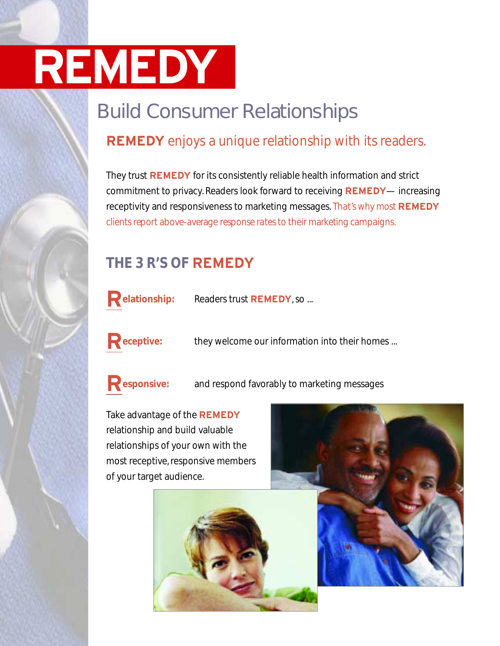## Build Consumer Relationships

### **REMEDY** enjoys a unique relationship with its readers.

They trust **REMEDY** for its consistently reliable health information and strict commitment to privacy. Readers look forward to receiving **REMEDY**— increasing receptivity and responsiveness to marketing messages. That's why most **REMEDY** clients report above-average response rates to their marketing campaigns.

### **THE 3 R'S OF REMEDY**



**Relationship:** Readers trust **REMEDY**, so ...



**Receptive:** they welcome our information into their homes ...



**Responsive:** and respond favorably to marketing messages

Take advantage of the **REMEDY** relationship and build valuable relationships of your own with the most receptive, responsive members of your target audience.



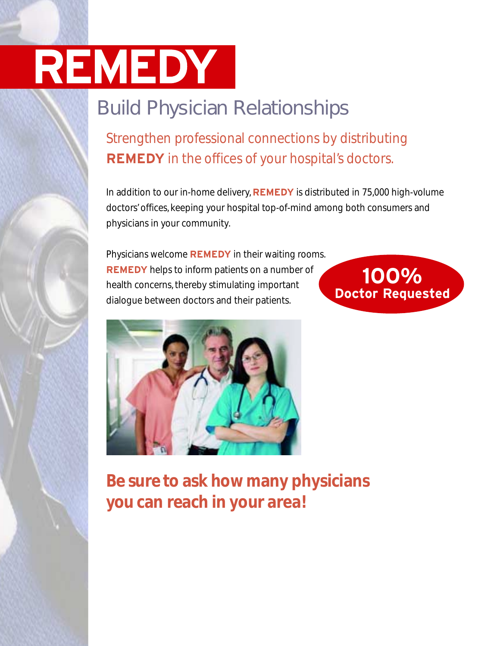## Build Physician Relationships

Strengthen professional connections by distributing **REMEDY** in the offices of your hospital's doctors.

In addition to our in-home delivery, **REMEDY** is distributed in 75,000 high-volume doctors' offices, keeping your hospital top-of-mind among both consumers and physicians in your community.

Physicians welcome **REMEDY** in their waiting rooms. **REMEDY** helps to inform patients on a number of health concerns, thereby stimulating important dialogue between doctors and their patients.





**Be sure to ask how many physicians you can reach in your area!**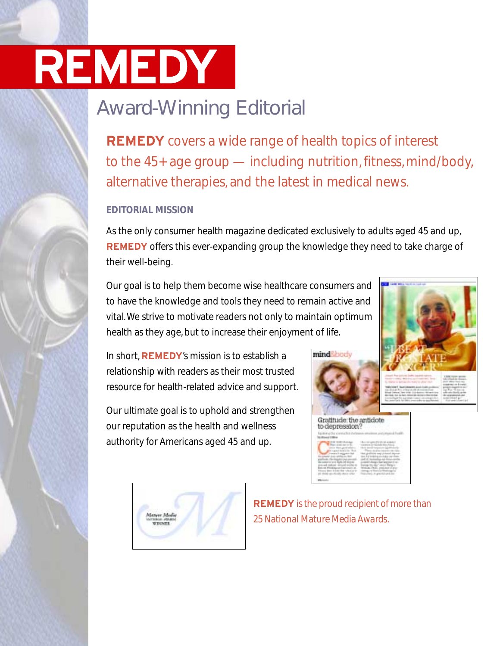## Award-Winning Editorial

**REMEDY** covers a wide range of health topics of interest to the 45+ age group — including nutrition, fitness, mind/body, alternative therapies, and the latest in medical news.

#### **EDITORIAL MISSION**

As the only consumer health magazine dedicated exclusively to adults aged 45 and up, **REMEDY** offers this ever-expanding group the knowledge they need to take charge of their well-being.

Our goal is to help them become wise healthcare consumers and to have the knowledge and tools they need to remain active and vital. We strive to motivate readers not only to maintain optimum health as they age, but to increase their enjoyment of life.

In short, **REMEDY**'s mission is to establish a relationship with readers as their most trusted resource for health-related advice and support.

Our ultimate goal is to uphold and strengthen our reputation as the health and wellness authority for Americans aged 45 and up.







**REMEDY** is the proud recipient of more than 25 National Mature Media Awards.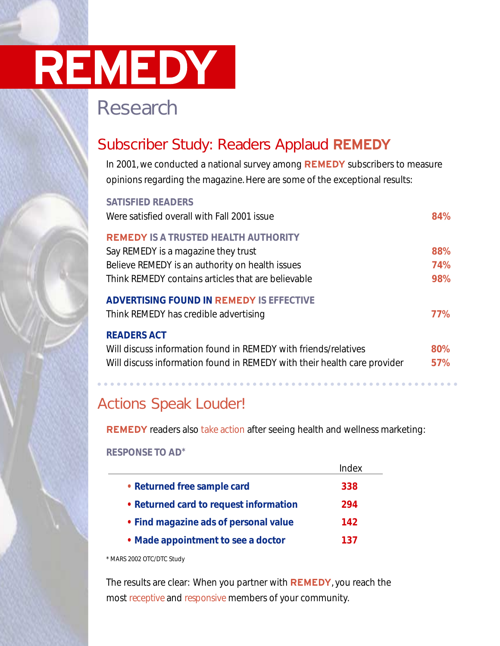### Research

### Subscriber Study: Readers Applaud **REMEDY**

In 2001, we conducted a national survey among **REMEDY** subscribers to measure opinions regarding the magazine. Here are some of the exceptional results:

| <b>SATISFIED READERS</b>                                                 |            |
|--------------------------------------------------------------------------|------------|
| Were satisfied overall with Fall 2001 issue                              | 84%        |
| <b>REMEDY IS A TRUSTED HEALTH AUTHORITY</b>                              |            |
| Say REMEDY is a magazine they trust                                      | 88%        |
| Believe REMEDY is an authority on health issues                          | <b>74%</b> |
| Think REMEDY contains articles that are believable                       | 98%        |
| <b>ADVERTISING FOUND IN REMEDY IS EFFECTIVE</b>                          |            |
| Think REMEDY has credible advertising                                    | <b>77%</b> |
| <b>READERS ACT</b>                                                       |            |
| Will discuss information found in REMEDY with friends/relatives          | 80%        |
| Will discuss information found in REMEDY with their health care provider | 57%        |
|                                                                          |            |

### Actions Speak Louder!

**REMEDY** readers also take action after seeing health and wellness marketing:

**RESPONSE TO AD\***

|                                        | Index |
|----------------------------------------|-------|
| • Returned free sample card            | 338   |
| • Returned card to request information | 294   |
| • Find magazine ads of personal value  | 142   |
| • Made appointment to see a doctor     | 137   |

\* MARS 2002 OTC/DTC Study

The results are clear: When you partner with **REMEDY**, you reach the most receptive and responsive members of your community.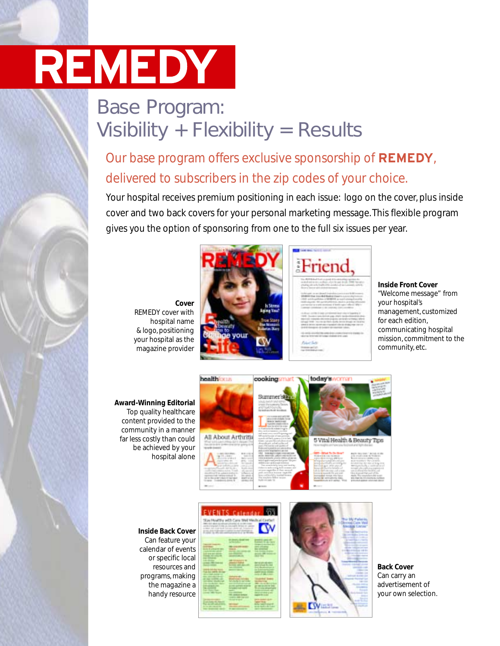### Base Program: Visibility + Flexibility = Results

### Our base program offers exclusive sponsorship of **REMEDY**, delivered to subscribers in the zip codes of your choice.

Your hospital receives premium positioning in each issue: logo on the cover, plus inside cover and two back covers for your personal marketing message. This flexible program gives you the option of sponsoring from one to the full six issues per year.

**Cover**  REMEDY cover with hospital name & logo, positioning your hospital as the magazine provider





**Inside Front Cover** "Welcome message" from your hospital's management, customized for each edition, communicating hospital mission, commitment to the community, etc.

**Award-Winning Editorial** Top quality healthcare content provided to the community in a manner far less costly than could be achieved by your hospital alone



### **Inside Back Cover**

Can feature your calendar of events or specific local resources and programs, making the magazine a handy resource

|               | <b>EVENTS Calenda</b>       |                     |
|---------------|-----------------------------|---------------------|
|               |                             |                     |
|               | <b><i><u>Romano</u></i></b> | 구부                  |
| <u>inter</u>  | and the property            | T.<br><b>SINE H</b> |
|               | m yr                        |                     |
|               | كالم                        | as b                |
|               | $-200$                      |                     |
|               |                             |                     |
| <b>CONTRA</b> | m<br>$-$                    | <b>Salvis</b>       |
|               |                             |                     |



**Back Cover** Can carry an advertisement of your own selection.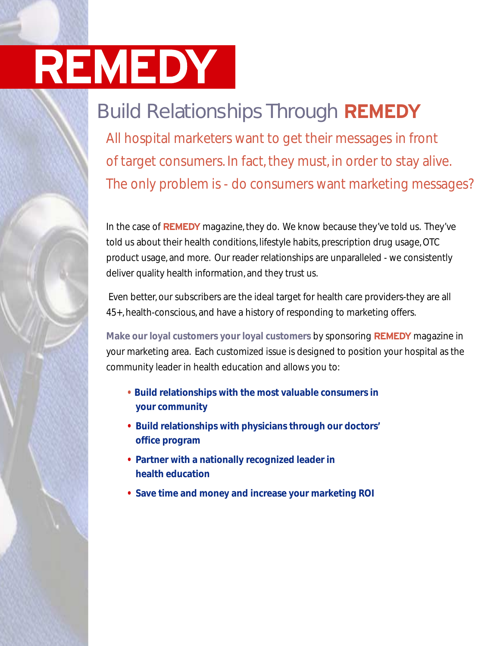## Build Relationships Through **REMEDY**

All hospital marketers want to get their messages in front of target consumers. In fact, they must, in order to stay alive. The only problem is - do consumers want marketing messages?

In the case of **REMEDY** magazine, they do. We know because they've told us. They've told us about their health conditions, lifestyle habits, prescription drug usage, OTC product usage, and more. Our reader relationships are unparalleled - we consistently deliver quality health information, and they trust us.

Even better, our subscribers are the ideal target for health care providers-they are all 45+, health-conscious, and have a history of responding to marketing offers.

**Make our loyal customers your loyal customers** by sponsoring **REMEDY** magazine in your marketing area. Each customized issue is designed to position your hospital as the community leader in health education and allows you to:

- **• Build relationships with the most valuable consumers in your community**
- **• Build relationships with physicians through our doctors' office program**
- **• Partner with a nationally recognized leader in health education**
- **• Save time and money and increase your marketing ROI**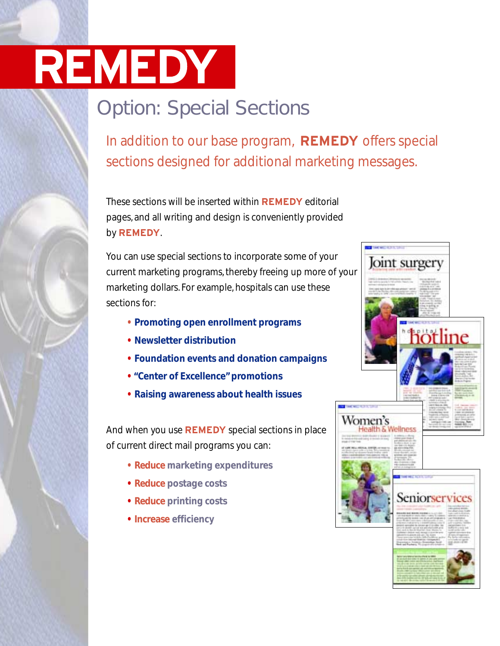## Option: Special Sections

In addition to our base program, **REMEDY** offers special sections designed for additional marketing messages.

These sections will be inserted within **REMEDY** editorial pages, and all writing and design is conveniently provided by **REMEDY**.

You can use special sections to incorporate some of your current marketing programs, thereby freeing up more of your marketing dollars. For example, hospitals can use these sections for:

- **• Promoting open enrollment programs**
- **• Newsletter distribution**
- **• Foundation events and donation campaigns**
- **• "Center of Excellence"promotions**
- **• Raising awareness about health issues**

And when you use **REMEDY** special sections in place of current direct mail programs you can:

- **• Reduce marketing expenditures**
- **• Reduce postage costs**
- **• Reduce printing costs**
- **• Increase efficiency**

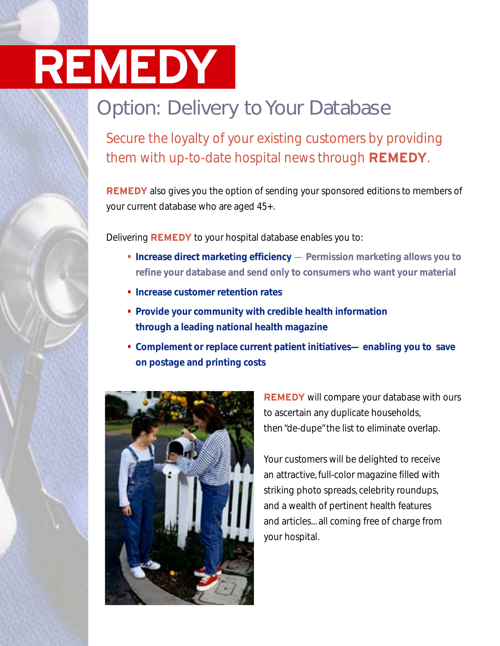## Option: Delivery to Your Database

Secure the loyalty of your existing customers by providing them with up-to-date hospital news through **REMEDY**.

**REMEDY** also gives you the option of sending your sponsored editions to members of your current database who are aged 45+.

Delivering **REMEDY** to your hospital database enables you to:

- **• Increase direct marketing efficiency Permission marketing allows you to refine your database and send only to consumers who want your material**
- **• Increase customer retention rates**
- **• Provide your community with credible health information through a leading national health magazine**
- **• Complement or replace current patient initiatives— enabling you to save on postage and printing costs**



**REMEDY** will compare your database with ours to ascertain any duplicate households, then "de-dupe"the list to eliminate overlap.

Your customers will be delighted to receive an attractive, full-color magazine filled with striking photo spreads, celebrity roundups, and a wealth of pertinent health features and articles... all coming free of charge from your hospital.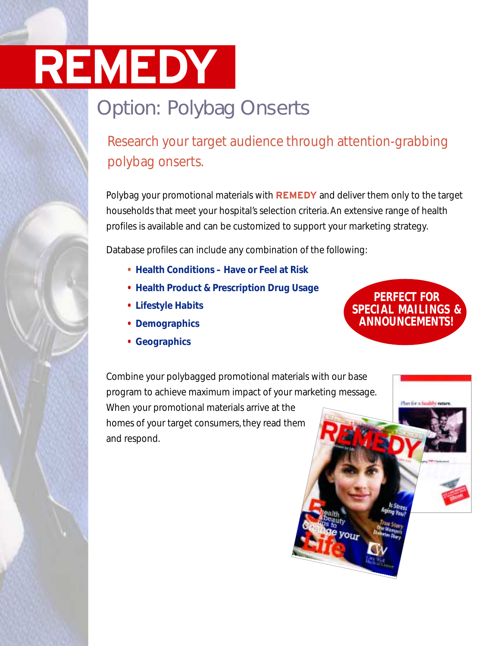## Option: Polybag Onserts

### Research your target audience through attention-grabbing polybag onserts.

Polybag your promotional materials with **REMEDY** and deliver them only to the target households that meet your hospital's selection criteria. An extensive range of health profiles is available and can be customized to support your marketing strategy.

Database profiles can include any combination of the following:

- **• Health Conditions Have or Feel at Risk**
- **• Health Product & Prescription Drug Usage**
- **• Lifestyle Habits**
- **• Demographics**
- **• Geographics**

Combine your polybagged promotional materials with our base program to achieve maximum impact of your marketing message. When your promotional materials arrive at the homes of your target consumers, they read them and respond.



Plan for a fought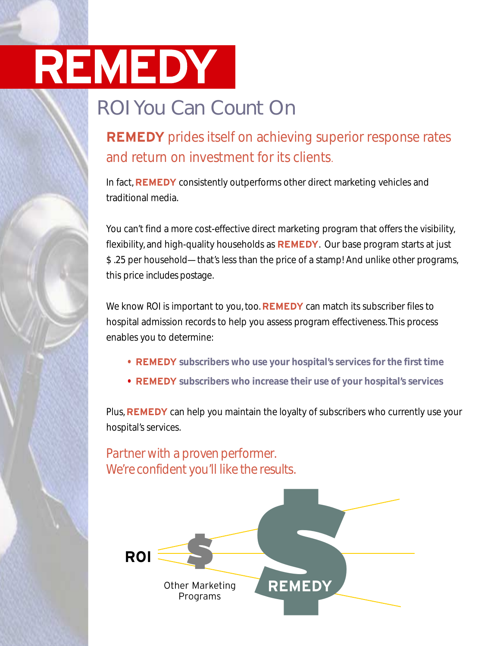## ROI You Can Count On

### **REMEDY** prides itself on achieving superior response rates and return on investment for its clients.

In fact, **REMEDY** consistently outperforms other direct marketing vehicles and traditional media.

You can't find a more cost-effective direct marketing program that offers the visibility, flexibility, and high-quality households as **REMEDY**. Our base program starts at just \$ .25 per household—that's less than the price of a stamp! And unlike other programs, this price includes postage.

We know ROI is important to you, too. **REMEDY** can match its subscriber files to hospital admission records to help you assess program effectiveness. This process enables you to determine:

- **• REMEDY subscribers who use your hospital's services for the first time**
- **• REMEDY subscribers who increase their use of your hospital's services**

Plus, **REMEDY** can help you maintain the loyalty of subscribers who currently use your hospital's services.

Partner with a proven performer. We're confident you'll like the results.

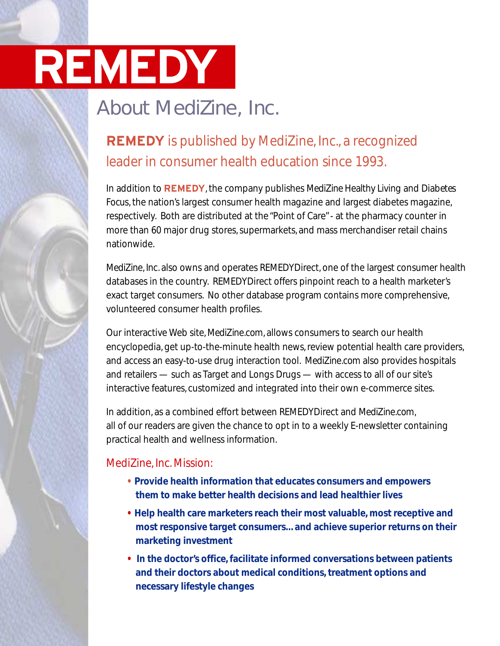## About MediZine, Inc.

### **REMEDY** is published by MediZine, Inc., a recognized leader in consumer health education since 1993.

In addition to **REMEDY**, the company publishes MediZine Healthy Living and Diabetes Focus, the nation's largest consumer health magazine and largest diabetes magazine, respectively. Both are distributed at the "Point of Care"- at the pharmacy counter in more than 60 major drug stores, supermarkets, and mass merchandiser retail chains nationwide.

MediZine, Inc. also owns and operates REMEDYDirect, one of the largest consumer health databases in the country. REMEDYDirect offers pinpoint reach to a health marketer's exact target consumers. No other database program contains more comprehensive, volunteered consumer health profiles.

Our interactive Web site, MediZine.com, allows consumers to search our health encyclopedia, get up-to-the-minute health news, review potential health care providers, and access an easy-to-use drug interaction tool. MediZine.com also provides hospitals and retailers — such as Target and Longs Drugs — with access to all of our site's interactive features, customized and integrated into their own e-commerce sites.

In addition, as a combined effort between REMEDYDirect and MediZine.com, all of our readers are given the chance to opt in to a weekly E-newsletter containing practical health and wellness information.

### MediZine, Inc. Mission:

- **• Provide health information that educates consumers and empowers them to make better health decisions and lead healthier lives**
- **• Help health care marketers reach their most valuable, most receptive and most responsive target consumers... and achieve superior returns on their marketing investment**
- **• In the doctor's office, facilitate informed conversations between patients and their doctors about medical conditions, treatment options and necessary lifestyle changes**